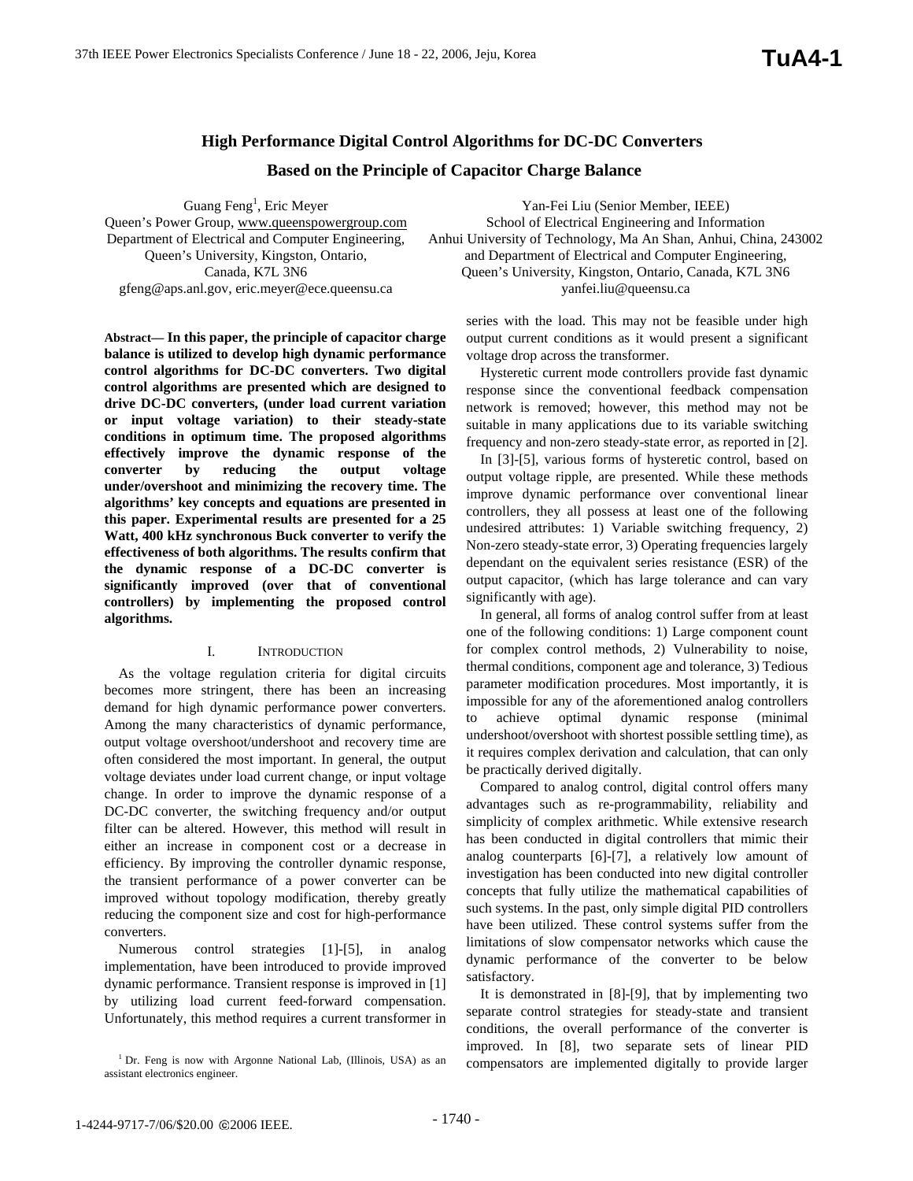## **High Performance Digital Control Algorithms for DC-DC Converters**

## **Based on the Principle of Capacitor Charge Balance**

Guang Feng<sup>1</sup>, Eric Meyer Queen's Power Group, www.queenspowergroup.com Department of Electrical and Computer Engineering, Queen's University, Kingston, Ontario, Canada, K7L 3N6 gfeng@aps.anl.gov, eric.meyer@ece.queensu.ca

**Abstract— In this paper, the principle of capacitor charge balance is utilized to develop high dynamic performance control algorithms for DC-DC converters. Two digital control algorithms are presented which are designed to drive DC-DC converters, (under load current variation or input voltage variation) to their steady-state conditions in optimum time. The proposed algorithms effectively improve the dynamic response of the converter by reducing the output voltage under/overshoot and minimizing the recovery time. The algorithms' key concepts and equations are presented in this paper. Experimental results are presented for a 25 Watt, 400 kHz synchronous Buck converter to verify the effectiveness of both algorithms. The results confirm that the dynamic response of a DC-DC converter is significantly improved (over that of conventional controllers) by implementing the proposed control algorithms.**

## I. INTRODUCTION

As the voltage regulation criteria for digital circuits becomes more stringent, there has been an increasing demand for high dynamic performance power converters. Among the many characteristics of dynamic performance, output voltage overshoot/undershoot and recovery time are often considered the most important. In general, the output voltage deviates under load current change, or input voltage change. In order to improve the dynamic response of a DC-DC converter, the switching frequency and/or output filter can be altered. However, this method will result in either an increase in component cost or a decrease in efficiency. By improving the controller dynamic response, the transient performance of a power converter can be improved without topology modification, thereby greatly reducing the component size and cost for high-performance converters.

Numerous control strategies [1]-[5], in analog implementation, have been introduced to provide improved dynamic performance. Transient response is improved in [1] by utilizing load current feed-forward compensation. Unfortunately, this method requires a current transformer in

Yan-Fei Liu (Senior Member, IEEE) School of Electrical Engineering and Information Anhui University of Technology, Ma An Shan, Anhui, China, 243002 and Department of Electrical and Computer Engineering, Queen's University, Kingston, Ontario, Canada, K7L 3N6 yanfei.liu@queensu.ca

series with the load. This may not be feasible under high output current conditions as it would present a significant voltage drop across the transformer.

Hysteretic current mode controllers provide fast dynamic response since the conventional feedback compensation network is removed; however, this method may not be suitable in many applications due to its variable switching frequency and non-zero steady-state error, as reported in [2].

In [3]-[5], various forms of hysteretic control, based on output voltage ripple, are presented. While these methods improve dynamic performance over conventional linear controllers, they all possess at least one of the following undesired attributes: 1) Variable switching frequency, 2) Non-zero steady-state error, 3) Operating frequencies largely dependant on the equivalent series resistance (ESR) of the output capacitor, (which has large tolerance and can vary significantly with age).

In general, all forms of analog control suffer from at least one of the following conditions: 1) Large component count for complex control methods, 2) Vulnerability to noise, thermal conditions, component age and tolerance, 3) Tedious parameter modification procedures. Most importantly, it is impossible for any of the aforementioned analog controllers to achieve optimal dynamic response (minimal undershoot/overshoot with shortest possible settling time), as it requires complex derivation and calculation, that can only be practically derived digitally.

Compared to analog control, digital control offers many advantages such as re-programmability, reliability and simplicity of complex arithmetic. While extensive research has been conducted in digital controllers that mimic their analog counterparts [6]-[7], a relatively low amount of investigation has been conducted into new digital controller concepts that fully utilize the mathematical capabilities of such systems. In the past, only simple digital PID controllers have been utilized. These control systems suffer from the limitations of slow compensator networks which cause the dynamic performance of the converter to be below satisfactory.

It is demonstrated in [8]-[9], that by implementing two separate control strategies for steady-state and transient conditions, the overall performance of the converter is improved. In [8], two separate sets of linear PID compensators are implemented digitally to provide larger

<sup>&</sup>lt;sup>1</sup> Dr. Feng is now with Argonne National Lab, (Illinois, USA) as an assistant electronics engineer.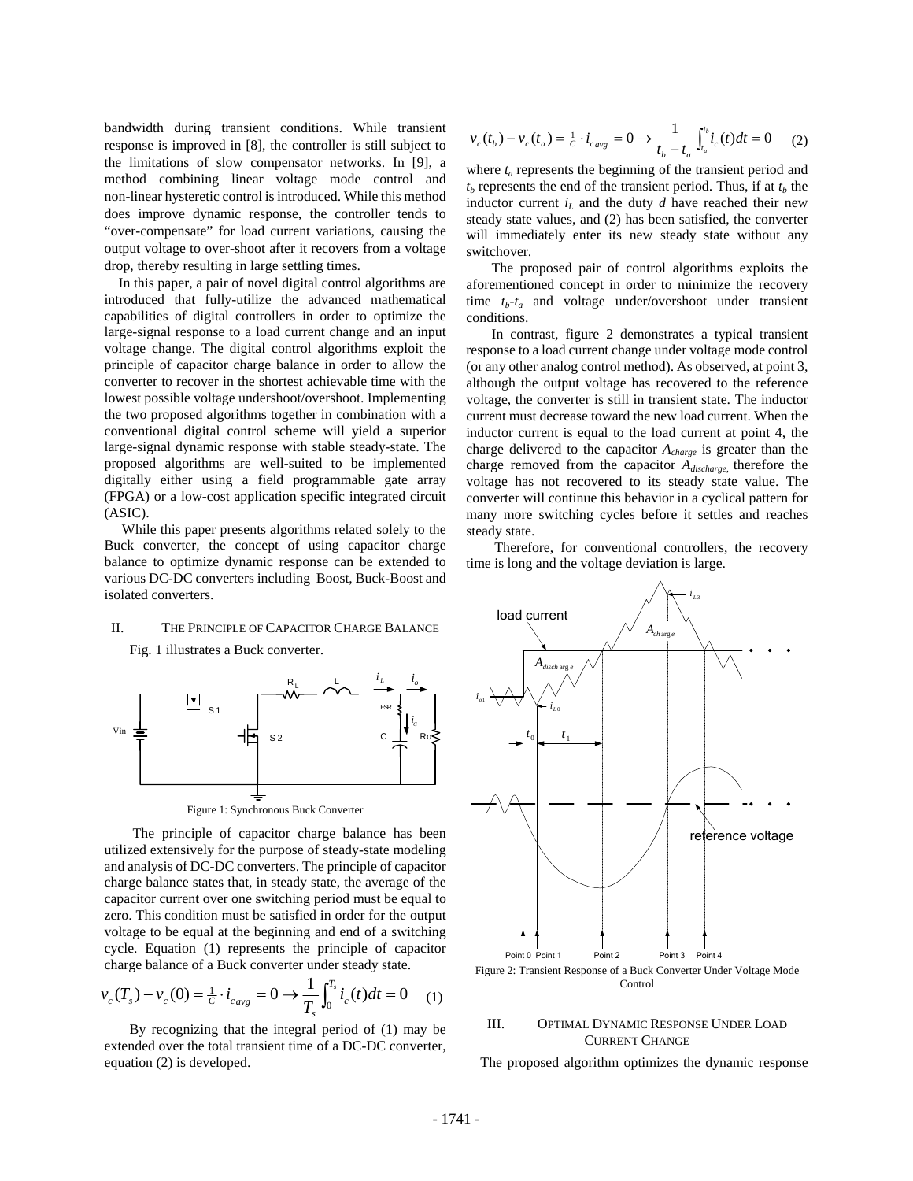bandwidth during transient conditions. While transient response is improved in [8], the controller is still subject to the limitations of slow compensator networks. In [9], a method combining linear voltage mode control and non-linear hysteretic control is introduced. While this method does improve dynamic response, the controller tends to "over-compensate" for load current variations, causing the output voltage to over-shoot after it recovers from a voltage drop, thereby resulting in large settling times.

In this paper, a pair of novel digital control algorithms are introduced that fully-utilize the advanced mathematical capabilities of digital controllers in order to optimize the large-signal response to a load current change and an input voltage change. The digital control algorithms exploit the principle of capacitor charge balance in order to allow the converter to recover in the shortest achievable time with the lowest possible voltage undershoot/overshoot. Implementing the two proposed algorithms together in combination with a conventional digital control scheme will yield a superior large-signal dynamic response with stable steady-state. The proposed algorithms are well-suited to be implemented digitally either using a field programmable gate array (FPGA) or a low-cost application specific integrated circuit (ASIC).

 While this paper presents algorithms related solely to the Buck converter, the concept of using capacitor charge balance to optimize dynamic response can be extended to various DC-DC converters including Boost, Buck-Boost and isolated converters.

# II. THE PRINCIPLE OF CAPACITOR CHARGE BALANCE







 The principle of capacitor charge balance has been utilized extensively for the purpose of steady-state modeling and analysis of DC-DC converters. The principle of capacitor charge balance states that, in steady state, the average of the capacitor current over one switching period must be equal to zero. This condition must be satisfied in order for the output voltage to be equal at the beginning and end of a switching cycle. Equation (1) represents the principle of capacitor charge balance of a Buck converter under steady state.

$$
v_c(T_s) - v_c(0) = \frac{1}{c} \cdot i_{c_{avg}} = 0 \longrightarrow \frac{1}{T_s} \int_0^{T_s} i_c(t) dt = 0 \quad (1)
$$

 By recognizing that the integral period of (1) may be extended over the total transient time of a DC-DC converter, equation (2) is developed.

$$
v_c(t_b) - v_c(t_a) = \frac{1}{c} \cdot i_{cavg} = 0 \longrightarrow \frac{1}{t_b - t_a} \int_{t_a}^{t_b} i_c(t) dt = 0 \tag{2}
$$

where  $t_a$  represents the beginning of the transient period and  $t_b$  represents the end of the transient period. Thus, if at  $t_b$  the inductor current  $i_L$  and the duty  $d$  have reached their new steady state values, and (2) has been satisfied, the converter will immediately enter its new steady state without any switchover.

 The proposed pair of control algorithms exploits the aforementioned concept in order to minimize the recovery time  $t_b-t_a$  and voltage under/overshoot under transient conditions.

 In contrast, figure 2 demonstrates a typical transient response to a load current change under voltage mode control (or any other analog control method). As observed, at point 3, although the output voltage has recovered to the reference voltage, the converter is still in transient state. The inductor current must decrease toward the new load current. When the inductor current is equal to the load current at point 4, the charge delivered to the capacitor *Acharge* is greater than the charge removed from the capacitor *Adischarge*, therefore the voltage has not recovered to its steady state value. The converter will continue this behavior in a cyclical pattern for many more switching cycles before it settles and reaches steady state.

 Therefore, for conventional controllers, the recovery time is long and the voltage deviation is large.



## III. OPTIMAL DYNAMIC RESPONSE UNDER LOAD CURRENT CHANGE

The proposed algorithm optimizes the dynamic response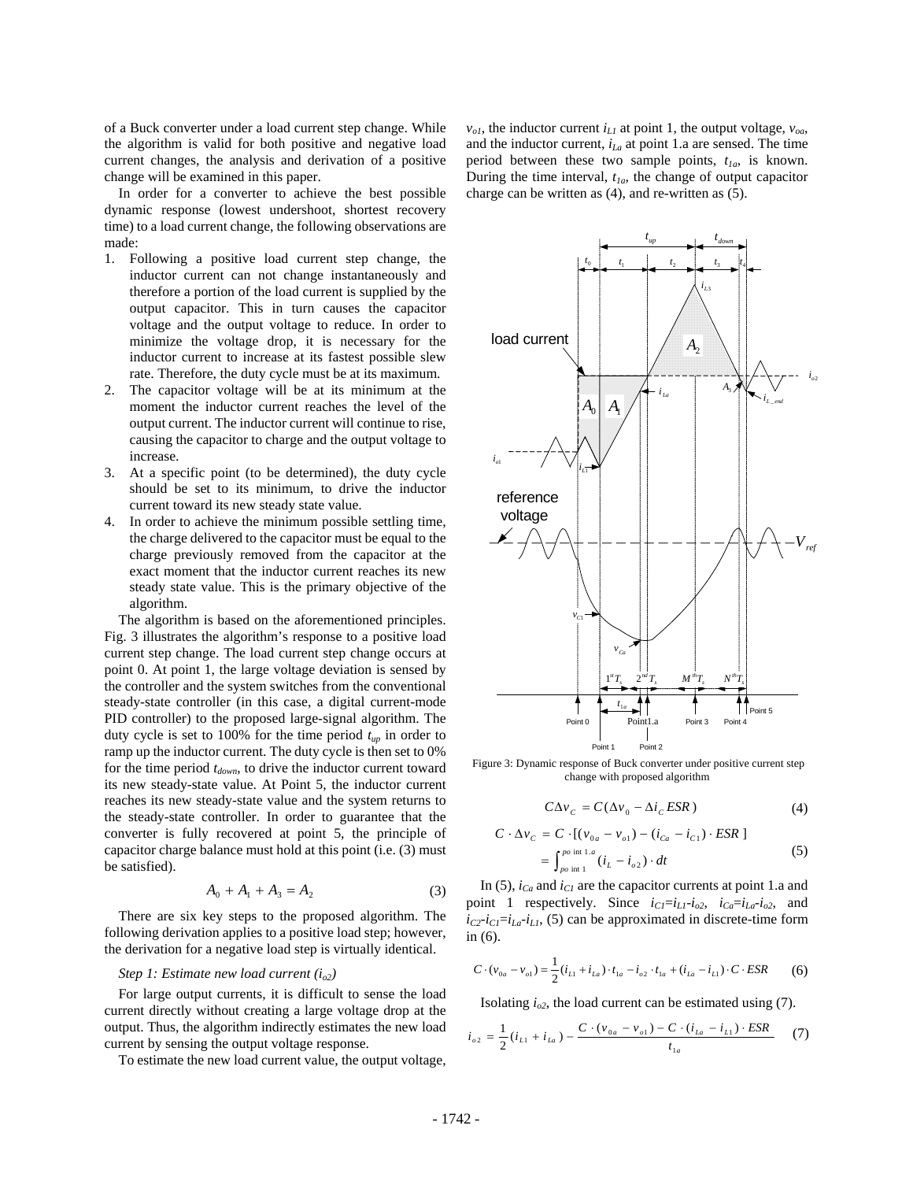of a Buck converter under a load current step change. While the algorithm is valid for both positive and negative load current changes, the analysis and derivation of a positive change will be examined in this paper.

In order for a converter to achieve the best possible dynamic response (lowest undershoot, shortest recovery time) to a load current change, the following observations are made:

- 1. Following a positive load current step change, the inductor current can not change instantaneously and therefore a portion of the load current is supplied by the output capacitor. This in turn causes the capacitor voltage and the output voltage to reduce. In order to minimize the voltage drop, it is necessary for the inductor current to increase at its fastest possible slew rate. Therefore, the duty cycle must be at its maximum.
- 2. The capacitor voltage will be at its minimum at the moment the inductor current reaches the level of the output current. The inductor current will continue to rise, causing the capacitor to charge and the output voltage to increase.
- 3. At a specific point (to be determined), the duty cycle should be set to its minimum, to drive the inductor current toward its new steady state value.
- 4. In order to achieve the minimum possible settling time, the charge delivered to the capacitor must be equal to the charge previously removed from the capacitor at the exact moment that the inductor current reaches its new steady state value. This is the primary objective of the algorithm.

The algorithm is based on the aforementioned principles. Fig. 3 illustrates the algorithm's response to a positive load current step change. The load current step change occurs at point 0. At point 1, the large voltage deviation is sensed by the controller and the system switches from the conventional steady-state controller (in this case, a digital current-mode PID controller) to the proposed large-signal algorithm. The duty cycle is set to 100% for the time period  $t_{up}$  in order to ramp up the inductor current. The duty cycle is then set to 0% for the time period  $t_{down}$ , to drive the inductor current toward its new steady-state value. At Point 5, the inductor current reaches its new steady-state value and the system returns to the steady-state controller. In order to guarantee that the converter is fully recovered at point 5, the principle of capacitor charge balance must hold at this point (i.e. (3) must be satisfied).

$$
A_0 + A_1 + A_3 = A_2 \tag{3}
$$

There are six key steps to the proposed algorithm. The following derivation applies to a positive load step; however, the derivation for a negative load step is virtually identical.

## *Step 1: Estimate new load current (io2)*

For large output currents, it is difficult to sense the load current directly without creating a large voltage drop at the output. Thus, the algorithm indirectly estimates the new load current by sensing the output voltage response.

To estimate the new load current value, the output voltage,

 $v_{oI}$ , the inductor current  $i_{LI}$  at point 1, the output voltage,  $v_{oa}$ , and the inductor current,  $i_{La}$  at point 1.a are sensed. The time period between these two sample points,  $t_{1a}$ , is known. During the time interval,  $t_{1a}$ , the change of output capacitor charge can be written as (4), and re-written as (5).



Figure 3: Dynamic response of Buck converter under positive current step change with proposed algorithm

$$
C\Delta v_C = C(\Delta v_0 - \Delta i_C ESR)
$$
 (4)

$$
C \cdot \Delta v_C = C \cdot [(v_{0a} - v_{o1}) - (i_{Ca} - i_{C1}) \cdot ESR]
$$
  
= 
$$
\int_{p_o}^{p_o \text{ int } 1.a} (i_L - i_{o2}) \cdot dt
$$
 (5)

In (5),  $i_{Ca}$  and  $i_{Cl}$  are the capacitor currents at point 1.a and point 1 respectively. Since  $i_{Cl} = i_{LI} - i_{o2}$ ,  $i_{Ca} = i_{La} - i_{o2}$ , and  $i_{C2}$ - $i_{C1}$ = $i_{L1}$ , (5) can be approximated in discrete-time form in (6).

$$
C \cdot (v_{0a} - v_{o1}) = \frac{1}{2} (i_{L1} + i_{La}) \cdot t_{1a} - i_{o2} \cdot t_{1a} + (i_{La} - i_{L1}) \cdot C \cdot ESR
$$
 (6)

Isolating  $i_{o2}$ , the load current can be estimated using  $(7)$ .

$$
i_{_{02}} = \frac{1}{2} (i_{_{L1}} + i_{_{La}}) - \frac{C \cdot (v_{_{0a}} - v_{_{o1}}) - C \cdot (i_{_{La}} - i_{_{L1}}) \cdot ESR}{t_{_{1a}}}
$$
 (7)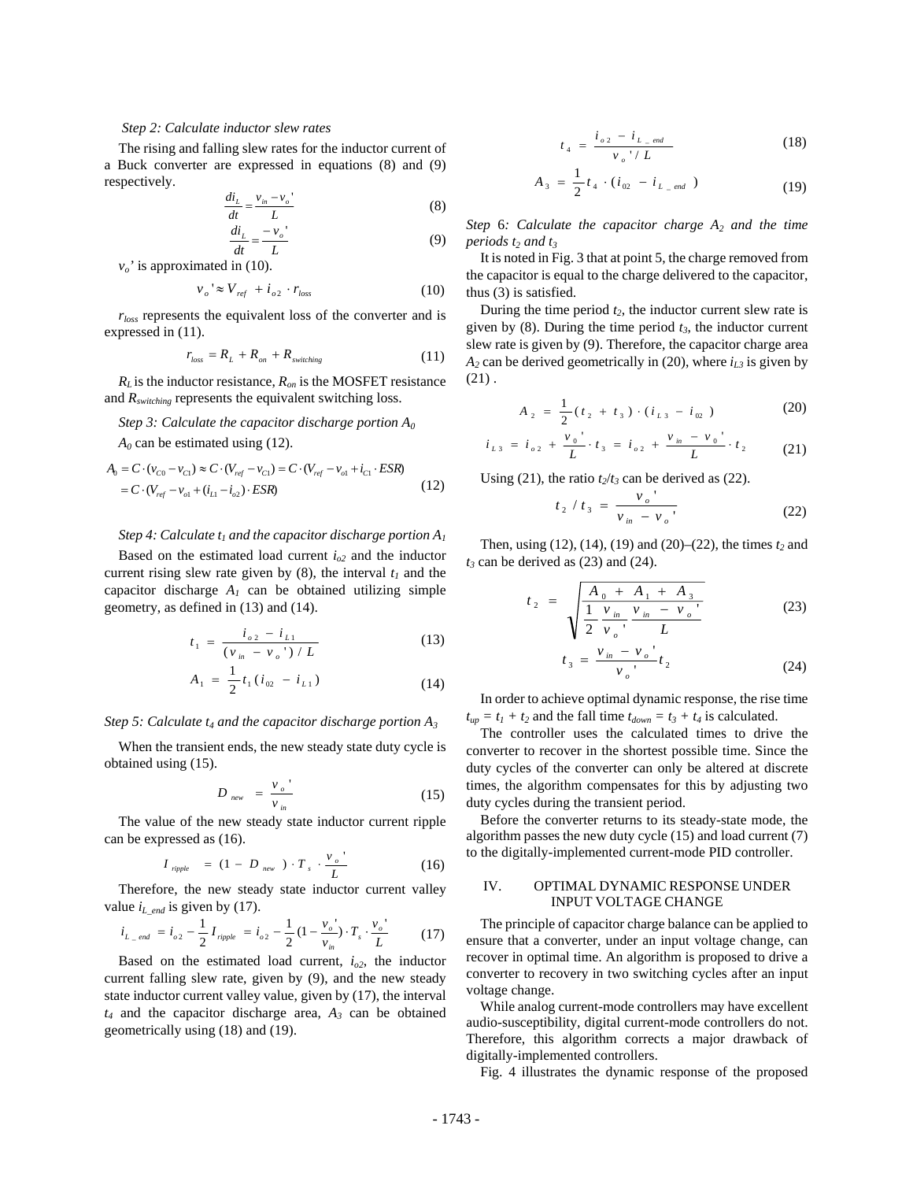#### *Step 2: Calculate inductor slew rates*

The rising and falling slew rates for the inductor current of a Buck converter are expressed in equations (8) and (9) respectively.

$$
\frac{di_L}{dt} = \frac{v_{in} - v_o}{L}
$$
 (8)

$$
\frac{di_L}{dt} = \frac{-v_o'}{L} \tag{9}
$$

 $v_o$ ' is approximated in (10).

$$
v_o \approx V_{ref} + i_{o2} \cdot r_{loss} \tag{10}
$$

*rloss* represents the equivalent loss of the converter and is expressed in (11).

$$
r_{loss} = R_L + R_{on} + R_{switching} \tag{11}
$$

 $R_L$  is the inductor resistance,  $R_{on}$  is the MOSFET resistance and *Rswitching* represents the equivalent switching loss.

## *Step 3: Calculate the capacitor discharge portion A0*

 $A_0$  can be estimated using (12).

$$
A_0 = C \cdot (v_{C0} - v_{C1}) \approx C \cdot (V_{ref} - v_{C1}) = C \cdot (V_{ref} - v_{o1} + i_{C1} \cdot ESR)
$$
  
=  $C \cdot (V_{ref} - v_{o1} + (i_{L1} - i_{o2}) \cdot ESR)$  (12)

#### *Step 4: Calculate*  $t_1$  *and the capacitor discharge portion*  $A_1$

Based on the estimated load current  $i_{o2}$  and the inductor current rising slew rate given by  $(8)$ , the interval  $t_1$  and the capacitor discharge  $A_1$  can be obtained utilizing simple geometry, as defined in (13) and (14).

$$
t_1 = \frac{i_{\rho 2} - i_{L1}}{(\nu_{in} - \nu_{\rho})^2 / L}
$$
 (13)

$$
A_1 = \frac{1}{2} t_1 (i_{02} - i_{L1})
$$
 (14)

#### *Step 5: Calculate*  $t_4$  *and the capacitor discharge portion*  $A_3$

When the transient ends, the new steady state duty cycle is obtained using (15).

$$
D_{\text{new}} = \frac{v_o}{v_{\text{in}}} \tag{15}
$$

The value of the new steady state inductor current ripple can be expressed as (16).

$$
I_{\text{nipple}} = (1 - D_{\text{new}}) \cdot T_s \cdot \frac{v_o}{L}
$$
 (16)

Therefore, the new steady state inductor current valley value  $i_{L_{end}}$  is given by (17).

$$
i_{L_{\text{end}}} = i_{o2} - \frac{1}{2} I_{\text{ripple}} = i_{o2} - \frac{1}{2} (1 - \frac{v_o}{v_{\text{in}}}) \cdot T_s \cdot \frac{v_o}{L}
$$
 (17)

Based on the estimated load current,  $i_{o2}$ , the inductor current falling slew rate, given by (9), and the new steady state inductor current valley value, given by (17), the interval  $t_4$  and the capacitor discharge area,  $A_3$  can be obtained geometrically using (18) and (19).

$$
t_4 = \frac{i_{o2} - i_{L\_end}}{v_o / L}
$$
 (18)

$$
A_3 = \frac{1}{2} t_4 \cdot (i_{02} - i_{L\_end})
$$
 (19)

*Step 6: Calculate the capacitor charge*  $A_2$  *and the time periods t<sub>2</sub> and t<sub>3</sub></sup>* 

It is noted in Fig. 3 that at point 5, the charge removed from the capacitor is equal to the charge delivered to the capacitor, thus (3) is satisfied.

During the time period  $t_2$ , the inductor current slew rate is given by  $(8)$ . During the time period  $t_3$ , the inductor current slew rate is given by (9). Therefore, the capacitor charge area  $A_2$  can be derived geometrically in (20), where  $i_{L3}$  is given by  $(21)$ .

$$
A_2 = \frac{1}{2} (t_2 + t_3) \cdot (i_{L3} - i_{02})
$$
 (20)

$$
i_{L3} = i_{\sigma 2} + \frac{v_0}{L} \cdot t_3 = i_{\sigma 2} + \frac{v_{in} - v_0}{L} \cdot t_2 \qquad (21)
$$

Using (21), the ratio  $t_2/t_3$  can be derived as (22).

$$
t_2 / t_3 = \frac{v_o}{v_{in} - v_o} \tag{22}
$$

Then, using  $(12)$ ,  $(14)$ ,  $(19)$  and  $(20)$ – $(22)$ , the times  $t_2$  and  $t_3$  can be derived as  $(23)$  and  $(24)$ .

$$
t_2 = \sqrt{\frac{A_0 + A_1 + A_3}{\frac{1}{2} \frac{v_{in}}{v_o} \frac{v_{in} - v_o}{L}}}
$$
(23)

$$
t_3 = \frac{v_{in} - v_o}{v_o} t_2
$$
 (24)

In order to achieve optimal dynamic response, the rise time  $t_{up} = t_1 + t_2$  and the fall time  $t_{down} = t_3 + t_4$  is calculated.

The controller uses the calculated times to drive the converter to recover in the shortest possible time. Since the duty cycles of the converter can only be altered at discrete times, the algorithm compensates for this by adjusting two duty cycles during the transient period.

Before the converter returns to its steady-state mode, the algorithm passes the new duty cycle (15) and load current (7) to the digitally-implemented current-mode PID controller.

## IV. OPTIMAL DYNAMIC RESPONSE UNDER INPUT VOLTAGE CHANGE

The principle of capacitor charge balance can be applied to ensure that a converter, under an input voltage change, can recover in optimal time. An algorithm is proposed to drive a converter to recovery in two switching cycles after an input voltage change.

While analog current-mode controllers may have excellent audio-susceptibility, digital current-mode controllers do not. Therefore, this algorithm corrects a major drawback of digitally-implemented controllers.

Fig. 4 illustrates the dynamic response of the proposed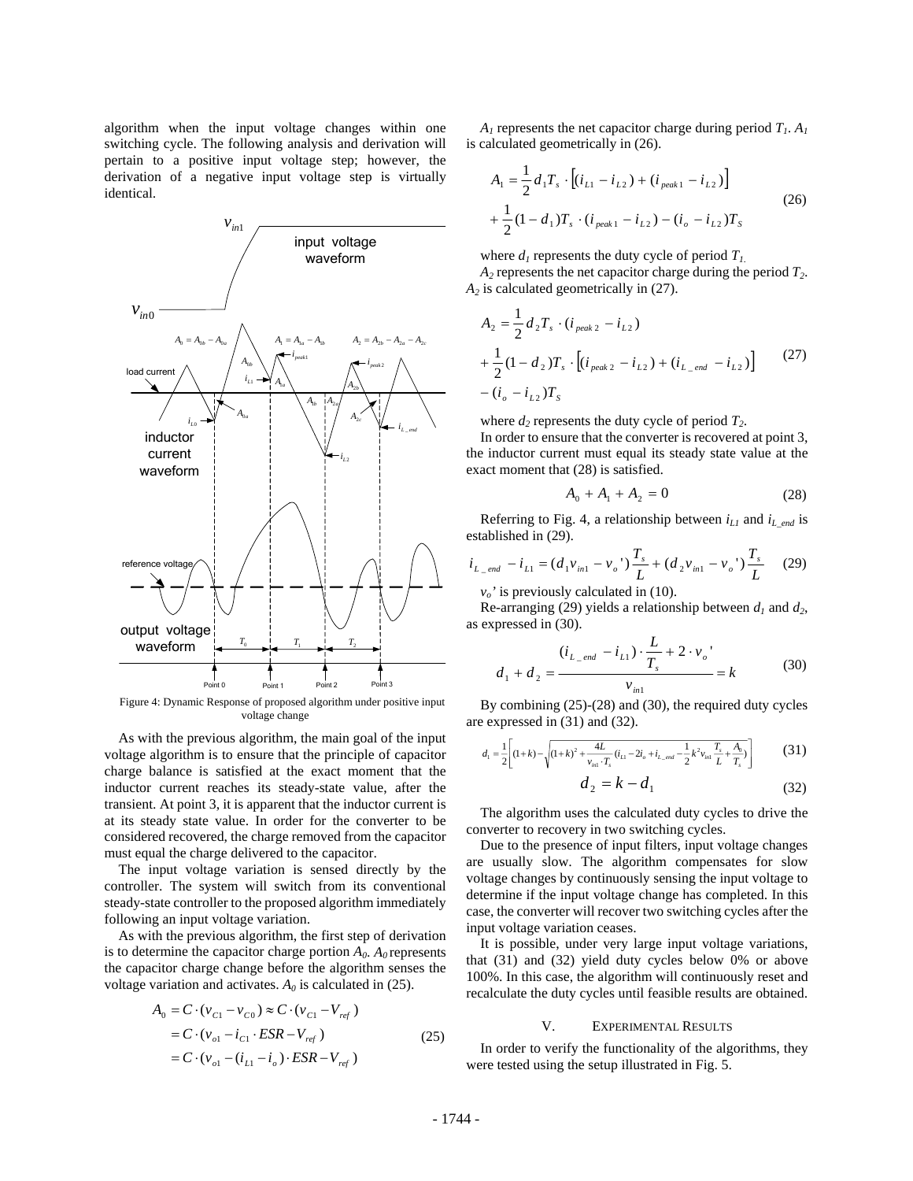algorithm when the input voltage changes within one switching cycle. The following analysis and derivation will pertain to a positive input voltage step; however, the derivation of a negative input voltage step is virtually identical.



Figure 4: Dynamic Response of proposed algorithm under positive input voltage change

As with the previous algorithm, the main goal of the input voltage algorithm is to ensure that the principle of capacitor charge balance is satisfied at the exact moment that the inductor current reaches its steady-state value, after the transient. At point 3, it is apparent that the inductor current is at its steady state value. In order for the converter to be considered recovered, the charge removed from the capacitor must equal the charge delivered to the capacitor.

The input voltage variation is sensed directly by the controller. The system will switch from its conventional steady-state controller to the proposed algorithm immediately following an input voltage variation.

As with the previous algorithm, the first step of derivation is to determine the capacitor charge portion  $A_0$ .  $A_0$  represents the capacitor charge change before the algorithm senses the voltage variation and activates.  $A_0$  is calculated in (25).

$$
A_0 = C \cdot (v_{C1} - v_{C0}) \approx C \cdot (v_{C1} - V_{ref})
$$
  
=  $C \cdot (v_{o1} - i_{C1} \cdot ESR - V_{ref})$  (25)  
=  $C \cdot (v_{o1} - (i_{L1} - i_o) \cdot ESR - V_{ref})$ 

 $A_1$  represents the net capacitor charge during period  $T_1$ .  $A_1$ is calculated geometrically in (26).

$$
A_1 = \frac{1}{2} d_1 T_s \cdot [(i_{L1} - i_{L2}) + (i_{peak1} - i_{L2})]
$$
  
+ 
$$
\frac{1}{2} (1 - d_1) T_s \cdot (i_{peak1} - i_{L2}) - (i_o - i_{L2}) T_s
$$
 (26)

where  $d_1$  represents the duty cycle of period  $T_1$ .  $A_2$  represents the net capacitor charge during the period  $T_2$ .

A<sub>2</sub> is calculated geometrically in (27).  
\n
$$
A_2 = \frac{1}{2} d_2 T_s \cdot (i_{peak 2} - i_{L2}) + \frac{1}{2} (1 - d_2) T_s \cdot [(i_{peak 2} - i_{L2}) + (i_{L\_end} - i_{L2})]
$$
\n(27)

 $-(i_o - i_{L2})T_s$ 

where  $d_2$  represents the duty cycle of period  $T_2$ .

In order to ensure that the converter is recovered at point 3, the inductor current must equal its steady state value at the exact moment that (28) is satisfied.

$$
A_0 + A_1 + A_2 = 0 \tag{28}
$$

Referring to Fig. 4, a relationship between  $i_{L1}$  and  $i_{L \text{ end}}$  is established in (29).

$$
i_{L_{\text{end}}} - i_{L1} = (d_1 v_{in1} - v_o') \frac{T_s}{L} + (d_2 v_{in1} - v_o') \frac{T_s}{L}
$$
 (29)

 $v<sub>o</sub>$ ' is previously calculated in (10).

Re-arranging (29) yields a relationship between  $d_1$  and  $d_2$ , as expressed in (30).

$$
d_1 + d_2 = \frac{(i_{L\_end} - i_{L1}) \cdot \frac{L}{T_s} + 2 \cdot v_o'}{v_{in1}} = k
$$
 (30)

By combining (25)-(28) and (30), the required duty cycles are expressed in (31) and (32).

$$
d_{1} = \frac{1}{2} \left[ (1+k) - \sqrt{(1+k)^{2} + \frac{4L}{v_{in1} \cdot T_{s}} (i_{L1} - 2i_{o} + i_{L\_end} - \frac{1}{2} k^{2} v_{in1} \frac{T_{s}}{L} + \frac{A_{0}}{T_{s}})} \right]
$$
(31)

$$
d_2 = k - d_1 \tag{32}
$$

The algorithm uses the calculated duty cycles to drive the converter to recovery in two switching cycles.

Due to the presence of input filters, input voltage changes are usually slow. The algorithm compensates for slow voltage changes by continuously sensing the input voltage to determine if the input voltage change has completed. In this case, the converter will recover two switching cycles after the input voltage variation ceases.

It is possible, under very large input voltage variations, that (31) and (32) yield duty cycles below 0% or above 100%. In this case, the algorithm will continuously reset and recalculate the duty cycles until feasible results are obtained.

#### V. EXPERIMENTAL RESULTS

In order to verify the functionality of the algorithms, they were tested using the setup illustrated in Fig. 5.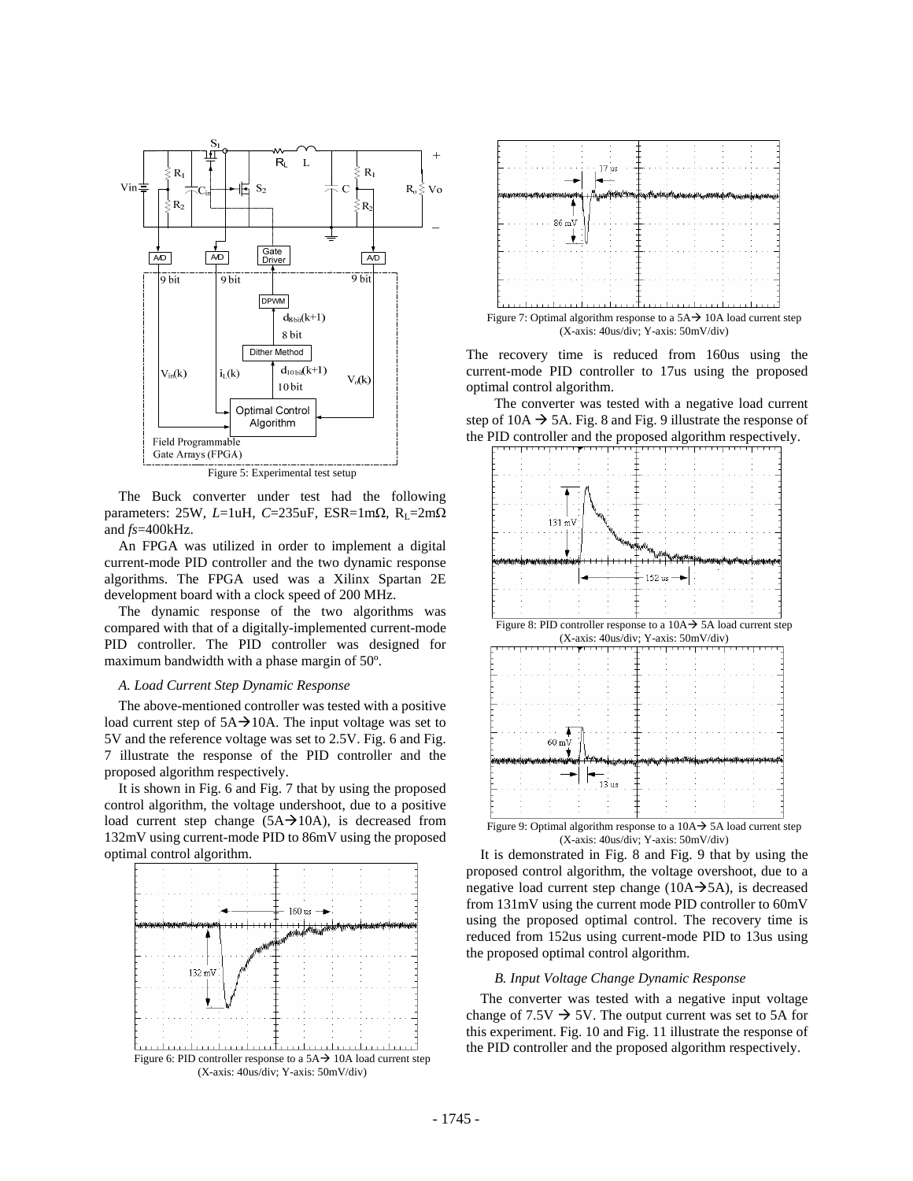

Figure 5: Experimental test setup

The Buck converter under test had the following parameters: 25W, *L*=1uH, *C*=235uF, ESR=1m $\Omega$ , R<sub>L</sub>=2m $\Omega$ and *fs*=400kHz.

An FPGA was utilized in order to implement a digital current-mode PID controller and the two dynamic response algorithms. The FPGA used was a Xilinx Spartan 2E development board with a clock speed of 200 MHz.

The dynamic response of the two algorithms was compared with that of a digitally-implemented current-mode PID controller. The PID controller was designed for maximum bandwidth with a phase margin of 50º.

## *A. Load Current Step Dynamic Response*

The above-mentioned controller was tested with a positive load current step of  $5A \rightarrow 10A$ . The input voltage was set to 5V and the reference voltage was set to 2.5V. Fig. 6 and Fig. 7 illustrate the response of the PID controller and the proposed algorithm respectively.

It is shown in Fig. 6 and Fig. 7 that by using the proposed control algorithm, the voltage undershoot, due to a positive load current step change  $(5A \rightarrow 10A)$ , is decreased from 132mV using current-mode PID to 86mV using the proposed optimal control algorithm.



Figure 6: PID controller response to a  $5A \rightarrow 10A$  load current step (X-axis: 40us/div; Y-axis: 50mV/div)



Figure 7: Optimal algorithm response to a  $5A\rightarrow 10A$  load current step (X-axis: 40us/div; Y-axis: 50mV/div)

The recovery time is reduced from 160us using the current-mode PID controller to 17us using the proposed optimal control algorithm.

 The converter was tested with a negative load current step of 10A  $\rightarrow$  5A. Fig. 8 and Fig. 9 illustrate the response of the PID controller and the proposed algorithm respectively.



Figure 8: PID controller response to a  $10A \rightarrow 5A$  load current step (X-axis: 40us/div; Y-axis: 50mV/div)



Figure 9: Optimal algorithm response to a  $10A \rightarrow 5A$  load current step (X-axis: 40us/div; Y-axis: 50mV/div)

 It is demonstrated in Fig. 8 and Fig. 9 that by using the proposed control algorithm, the voltage overshoot, due to a negative load current step change ( $10A \rightarrow 5A$ ), is decreased from 131mV using the current mode PID controller to 60mV using the proposed optimal control. The recovery time is reduced from 152us using current-mode PID to 13us using the proposed optimal control algorithm.

## *B. Input Voltage Change Dynamic Response*

The converter was tested with a negative input voltage change of  $7.5V \rightarrow 5V$ . The output current was set to 5A for this experiment. Fig. 10 and Fig. 11 illustrate the response of the PID controller and the proposed algorithm respectively.